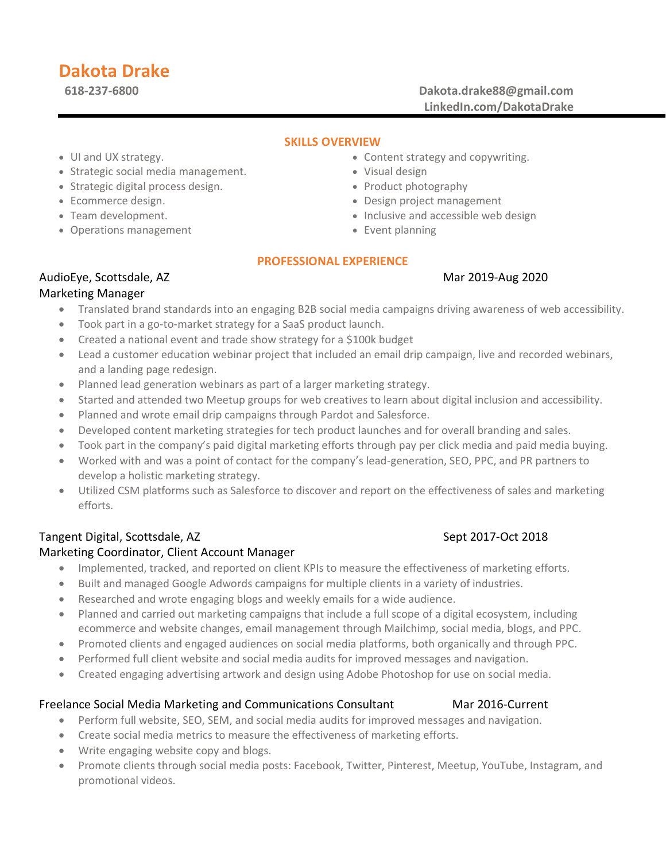# **Dakota Drake**

**618-237-6800 Dakota.drake88@gmail.com LinkedIn.com/DakotaDrake**

## **SKILLS OVERVIEW**

- UI and UX strategy.
- Strategic social media management.
- Strategic digital process design.
- Ecommerce design.
- Team development.
- Operations management
- Content strategy and copywriting.
- Visual design
- Product photography
- Design project management
- Inclusive and accessible web design
- Event planning

## **PROFESSIONAL EXPERIENCE**

## AudioEye, Scottsdale, AZ Mar 2019-Aug 2020

## Marketing Manager

- Translated brand standards into an engaging B2B social media campaigns driving awareness of web accessibility.
- Took part in a go-to-market strategy for a SaaS product launch.
- Created a national event and trade show strategy for a \$100k budget
- Lead a customer education webinar project that included an email drip campaign, live and recorded webinars, and a landing page redesign.
- Planned lead generation webinars as part of a larger marketing strategy.
- Started and attended two Meetup groups for web creatives to learn about digital inclusion and accessibility.
- Planned and wrote email drip campaigns through Pardot and Salesforce.
- Developed content marketing strategies for tech product launches and for overall branding and sales.
- Took part in the company's paid digital marketing efforts through pay per click media and paid media buying.
- Worked with and was a point of contact for the company's lead-generation, SEO, PPC, and PR partners to develop a holistic marketing strategy.
- Utilized CSM platforms such as Salesforce to discover and report on the effectiveness of sales and marketing efforts.

## Tangent Digital, Scottsdale, AZ Sept 2017-Oct 2018

## Marketing Coordinator, Client Account Manager

- Implemented, tracked, and reported on client KPIs to measure the effectiveness of marketing efforts.
- Built and managed Google Adwords campaigns for multiple clients in a variety of industries.
- Researched and wrote engaging blogs and weekly emails for a wide audience.
- Planned and carried out marketing campaigns that include a full scope of a digital ecosystem, including ecommerce and website changes, email management through Mailchimp, social media, blogs, and PPC.
- Promoted clients and engaged audiences on social media platforms, both organically and through PPC.
- Performed full client website and social media audits for improved messages and navigation.
- Created engaging advertising artwork and design using Adobe Photoshop for use on social media.

## Freelance Social Media Marketing and Communications Consultant Mar 2016-Current

- Perform full website, SEO, SEM, and social media audits for improved messages and navigation.
- Create social media metrics to measure the effectiveness of marketing efforts.
- Write engaging website copy and blogs.
- Promote clients through social media posts: Facebook, Twitter, Pinterest, Meetup, YouTube, Instagram, and promotional videos.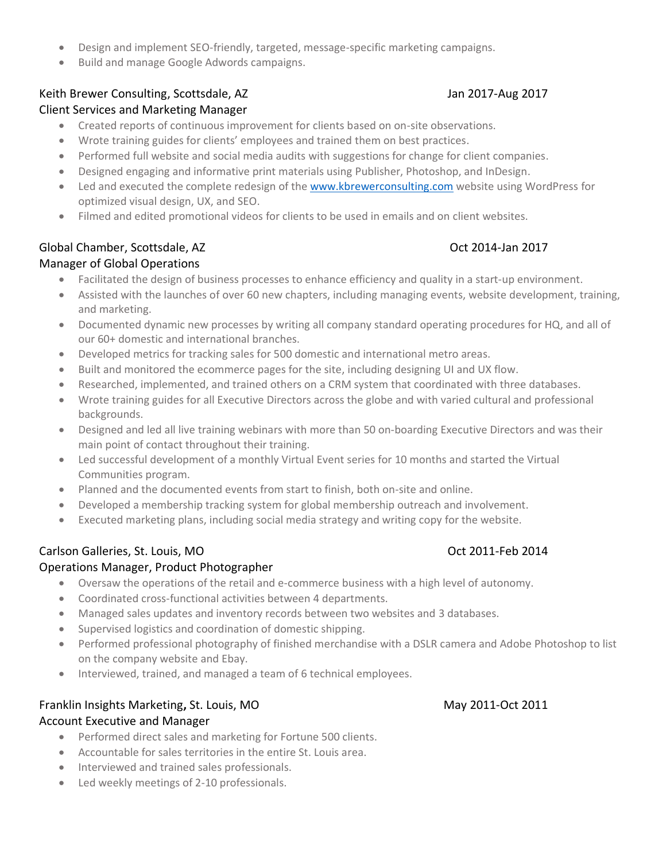- Design and implement SEO-friendly, targeted, message-specific marketing campaigns.
- Build and manage Google Adwords campaigns.

# Keith Brewer Consulting, Scottsdale, AZ Jan 2017-Aug 2017-Aug 2017

## Client Services and Marketing Manager

- Created reports of continuous improvement for clients based on on-site observations.
- Wrote training guides for clients' employees and trained them on best practices.
- Performed full website and social media audits with suggestions for change for client companies.
- Designed engaging and informative print materials using Publisher, Photoshop, and InDesign.
- Led and executed the complete redesign of the [www.kbrewerconsulting.com](http://www.kbrewerconsulting.com/) website using WordPress for optimized visual design, UX, and SEO.
- Filmed and edited promotional videos for clients to be used in emails and on client websites.

# Global Chamber, Scottsdale, AZ Chamber, Scottsdale, AZ Chamber, 2017

# Manager of Global Operations

- Facilitated the design of business processes to enhance efficiency and quality in a start-up environment.
- Assisted with the launches of over 60 new chapters, including managing events, website development, training, and marketing.
- Documented dynamic new processes by writing all company standard operating procedures for HQ, and all of our 60+ domestic and international branches.
- Developed metrics for tracking sales for 500 domestic and international metro areas.
- Built and monitored the ecommerce pages for the site, including designing UI and UX flow.
- Researched, implemented, and trained others on a CRM system that coordinated with three databases.
- Wrote training guides for all Executive Directors across the globe and with varied cultural and professional backgrounds.
- Designed and led all live training webinars with more than 50 on-boarding Executive Directors and was their main point of contact throughout their training.
- Led successful development of a monthly Virtual Event series for 10 months and started the Virtual Communities program.
- Planned and the documented events from start to finish, both on-site and online.
- Developed a membership tracking system for global membership outreach and involvement.
- Executed marketing plans, including social media strategy and writing copy for the website.

# Carlson Galleries, St. Louis, MO Carlson Carlson Context Carlson Context Context Context Context Context Context Context Context Context Context Context Context Context Context Context Context Context Context Context Conte

## Operations Manager, Product Photographer

- Oversaw the operations of the retail and e-commerce business with a high level of autonomy.
- Coordinated cross-functional activities between 4 departments.
- Managed sales updates and inventory records between two websites and 3 databases.
- Supervised logistics and coordination of domestic shipping.
- Performed professional photography of finished merchandise with a DSLR camera and Adobe Photoshop to list on the company website and Ebay.
- Interviewed, trained, and managed a team of 6 technical employees.

# Franklin Insights Marketing**,** St. Louis, MO May 2011-Oct 2011

# Account Executive and Manager

- Performed direct sales and marketing for Fortune 500 clients.
- Accountable for sales territories in the entire St. Louis area.
- Interviewed and trained sales professionals.
- Led weekly meetings of 2-10 professionals.